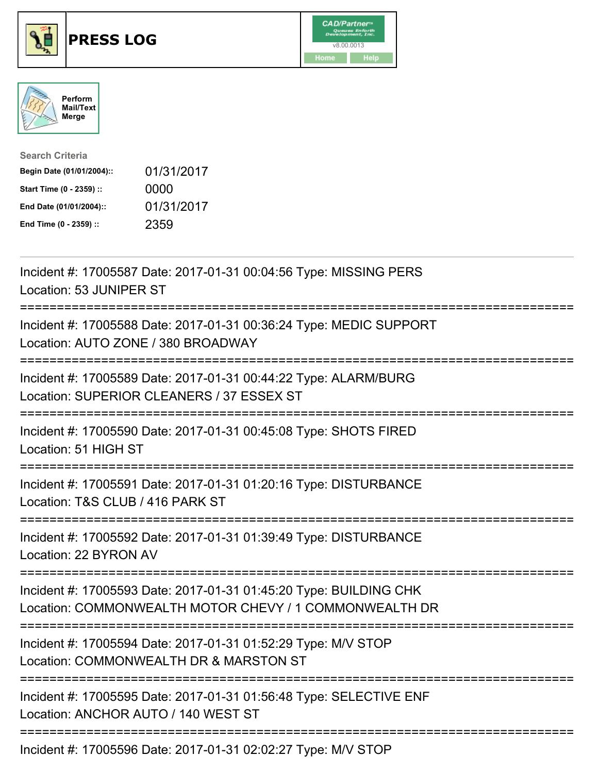

## **PRESS LOG** v8.00.0013





| <b>Search Criteria</b>    |            |
|---------------------------|------------|
| Begin Date (01/01/2004):: | 01/31/2017 |
| Start Time (0 - 2359) ::  | 0000       |
| End Date (01/01/2004)::   | 01/31/2017 |
| End Time (0 - 2359) ::    | 2359       |

Incident #: 17005587 Date: 2017-01-31 00:04:56 Type: MISSING PERS Location: 53 JUNIPER ST =========================================================================== Incident #: 17005588 Date: 2017-01-31 00:36:24 Type: MEDIC SUPPORT Location: AUTO ZONE / 380 BROADWAY =========================================================================== Incident #: 17005589 Date: 2017-01-31 00:44:22 Type: ALARM/BURG Location: SUPERIOR CLEANERS / 37 ESSEX ST =========================================================================== Incident #: 17005590 Date: 2017-01-31 00:45:08 Type: SHOTS FIRED Location: 51 HIGH ST =========================================================================== Incident #: 17005591 Date: 2017-01-31 01:20:16 Type: DISTURBANCE Location: T&S CLUB / 416 PARK ST =========================================================================== Incident #: 17005592 Date: 2017-01-31 01:39:49 Type: DISTURBANCE Location: 22 BYRON AV =========================================================================== Incident #: 17005593 Date: 2017-01-31 01:45:20 Type: BUILDING CHK Location: COMMONWEALTH MOTOR CHEVY / 1 COMMONWEALTH DR =========================================================================== Incident #: 17005594 Date: 2017-01-31 01:52:29 Type: M/V STOP Location: COMMONWEALTH DR & MARSTON ST =========================================================================== Incident #: 17005595 Date: 2017-01-31 01:56:48 Type: SELECTIVE ENF Location: ANCHOR AUTO / 140 WEST ST ===========================================================================

Incident #: 17005596 Date: 2017-01-31 02:02:27 Type: M/V STOP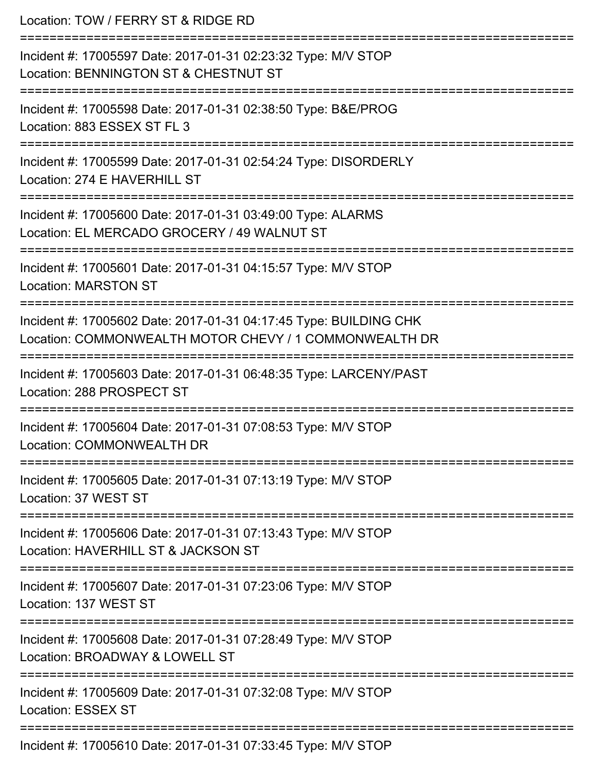| Location: TOW / FERRY ST & RIDGE RD                                                                                                          |
|----------------------------------------------------------------------------------------------------------------------------------------------|
| Incident #: 17005597 Date: 2017-01-31 02:23:32 Type: M/V STOP<br>Location: BENNINGTON ST & CHESTNUT ST<br>:========================          |
| Incident #: 17005598 Date: 2017-01-31 02:38:50 Type: B&E/PROG<br>Location: 883 ESSEX ST FL 3                                                 |
| Incident #: 17005599 Date: 2017-01-31 02:54:24 Type: DISORDERLY<br>Location: 274 E HAVERHILL ST                                              |
| :=============================<br>Incident #: 17005600 Date: 2017-01-31 03:49:00 Type: ALARMS<br>Location: EL MERCADO GROCERY / 49 WALNUT ST |
| Incident #: 17005601 Date: 2017-01-31 04:15:57 Type: M/V STOP<br><b>Location: MARSTON ST</b>                                                 |
| Incident #: 17005602 Date: 2017-01-31 04:17:45 Type: BUILDING CHK<br>Location: COMMONWEALTH MOTOR CHEVY / 1 COMMONWEALTH DR                  |
| Incident #: 17005603 Date: 2017-01-31 06:48:35 Type: LARCENY/PAST<br>Location: 288 PROSPECT ST                                               |
| Incident #: 17005604 Date: 2017-01-31 07:08:53 Type: M/V STOP<br>Location: COMMONWEALTH DR                                                   |
| :==============================<br>Incident #: 17005605 Date: 2017-01-31 07:13:19 Type: M/V STOP<br>Location: 37 WEST ST                     |
| ------------------<br>Incident #: 17005606 Date: 2017-01-31 07:13:43 Type: M/V STOP<br>Location: HAVERHILL ST & JACKSON ST                   |
| Incident #: 17005607 Date: 2017-01-31 07:23:06 Type: M/V STOP<br>Location: 137 WEST ST                                                       |
| Incident #: 17005608 Date: 2017-01-31 07:28:49 Type: M/V STOP<br>Location: BROADWAY & LOWELL ST                                              |
| Incident #: 17005609 Date: 2017-01-31 07:32:08 Type: M/V STOP<br><b>Location: ESSEX ST</b>                                                   |
|                                                                                                                                              |

Incident #: 17005610 Date: 2017-01-31 07:33:45 Type: M/V STOP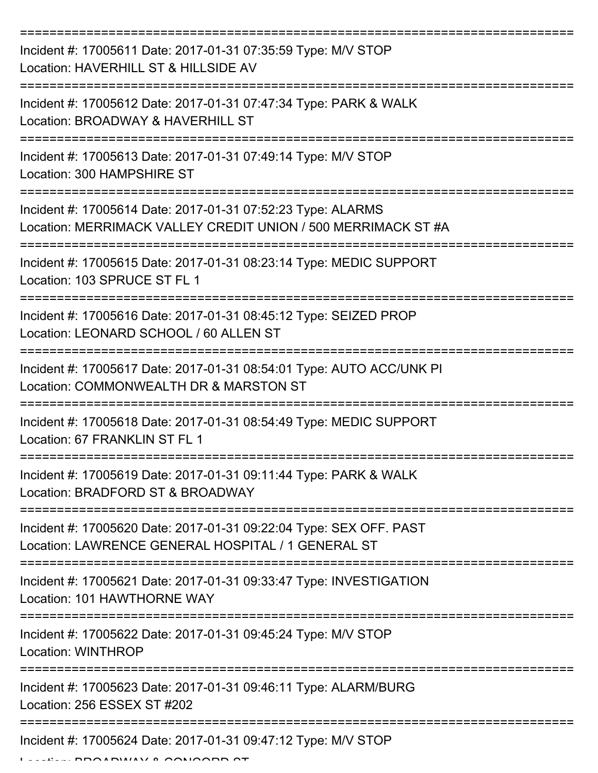| Incident #: 17005611 Date: 2017-01-31 07:35:59 Type: M/V STOP<br>Location: HAVERHILL ST & HILLSIDE AV                        |
|------------------------------------------------------------------------------------------------------------------------------|
| Incident #: 17005612 Date: 2017-01-31 07:47:34 Type: PARK & WALK<br>Location: BROADWAY & HAVERHILL ST                        |
| Incident #: 17005613 Date: 2017-01-31 07:49:14 Type: M/V STOP<br>Location: 300 HAMPSHIRE ST                                  |
| Incident #: 17005614 Date: 2017-01-31 07:52:23 Type: ALARMS<br>Location: MERRIMACK VALLEY CREDIT UNION / 500 MERRIMACK ST #A |
| Incident #: 17005615 Date: 2017-01-31 08:23:14 Type: MEDIC SUPPORT<br>Location: 103 SPRUCE ST FL 1<br>------------------     |
| Incident #: 17005616 Date: 2017-01-31 08:45:12 Type: SEIZED PROP<br>Location: LEONARD SCHOOL / 60 ALLEN ST                   |
| Incident #: 17005617 Date: 2017-01-31 08:54:01 Type: AUTO ACC/UNK PI<br>Location: COMMONWEALTH DR & MARSTON ST               |
| Incident #: 17005618 Date: 2017-01-31 08:54:49 Type: MEDIC SUPPORT<br>Location: 67 FRANKLIN ST FL 1                          |
| Incident #: 17005619 Date: 2017-01-31 09:11:44 Type: PARK & WALK<br>Location: BRADFORD ST & BROADWAY                         |
| Incident #: 17005620 Date: 2017-01-31 09:22:04 Type: SEX OFF. PAST<br>Location: LAWRENCE GENERAL HOSPITAL / 1 GENERAL ST     |
| Incident #: 17005621 Date: 2017-01-31 09:33:47 Type: INVESTIGATION<br>Location: 101 HAWTHORNE WAY                            |
| Incident #: 17005622 Date: 2017-01-31 09:45:24 Type: M/V STOP<br><b>Location: WINTHROP</b>                                   |
| Incident #: 17005623 Date: 2017-01-31 09:46:11 Type: ALARM/BURG<br>Location: 256 ESSEX ST #202                               |
| Incident #: 17005624 Date: 2017-01-31 09:47:12 Type: M/V STOP                                                                |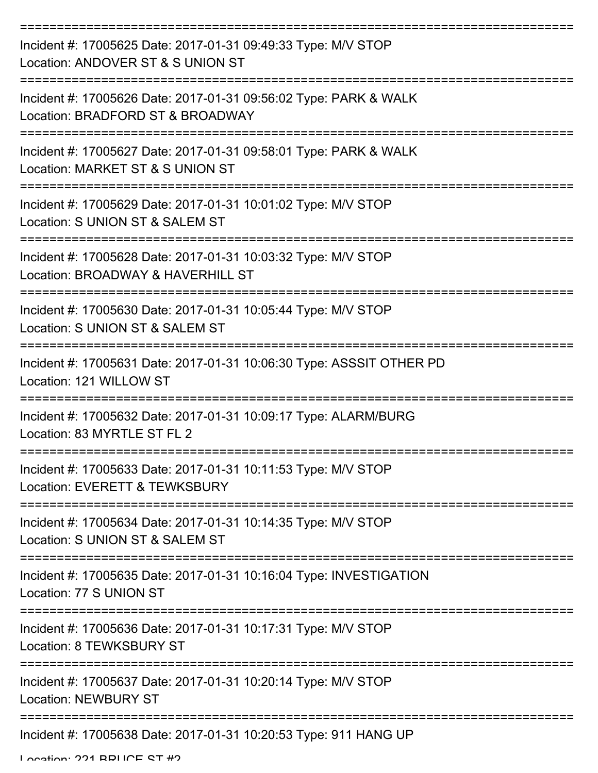| Incident #: 17005625 Date: 2017-01-31 09:49:33 Type: M/V STOP<br>Location: ANDOVER ST & S UNION ST                     |
|------------------------------------------------------------------------------------------------------------------------|
| Incident #: 17005626 Date: 2017-01-31 09:56:02 Type: PARK & WALK<br>Location: BRADFORD ST & BROADWAY                   |
| Incident #: 17005627 Date: 2017-01-31 09:58:01 Type: PARK & WALK<br>Location: MARKET ST & S UNION ST                   |
| Incident #: 17005629 Date: 2017-01-31 10:01:02 Type: M/V STOP<br>Location: S UNION ST & SALEM ST                       |
| Incident #: 17005628 Date: 2017-01-31 10:03:32 Type: M/V STOP<br>Location: BROADWAY & HAVERHILL ST                     |
| ;=================<br>Incident #: 17005630 Date: 2017-01-31 10:05:44 Type: M/V STOP<br>Location: S UNION ST & SALEM ST |
| Incident #: 17005631 Date: 2017-01-31 10:06:30 Type: ASSSIT OTHER PD<br>Location: 121 WILLOW ST                        |
| Incident #: 17005632 Date: 2017-01-31 10:09:17 Type: ALARM/BURG<br>Location: 83 MYRTLE ST FL 2                         |
| Incident #: 17005633 Date: 2017-01-31 10:11:53 Type: M/V STOP<br>Location: EVERETT & TEWKSBURY                         |
| Incident #: 17005634 Date: 2017-01-31 10:14:35 Type: M/V STOP<br>Location: S UNION ST & SALEM ST                       |
| Incident #: 17005635 Date: 2017-01-31 10:16:04 Type: INVESTIGATION<br>Location: 77 S UNION ST                          |
| Incident #: 17005636 Date: 2017-01-31 10:17:31 Type: M/V STOP<br>Location: 8 TEWKSBURY ST                              |
| Incident #: 17005637 Date: 2017-01-31 10:20:14 Type: M/V STOP<br><b>Location: NEWBURY ST</b>                           |
| Incident #: 17005638 Date: 2017-01-31 10:20:53 Type: 911 HANG UP                                                       |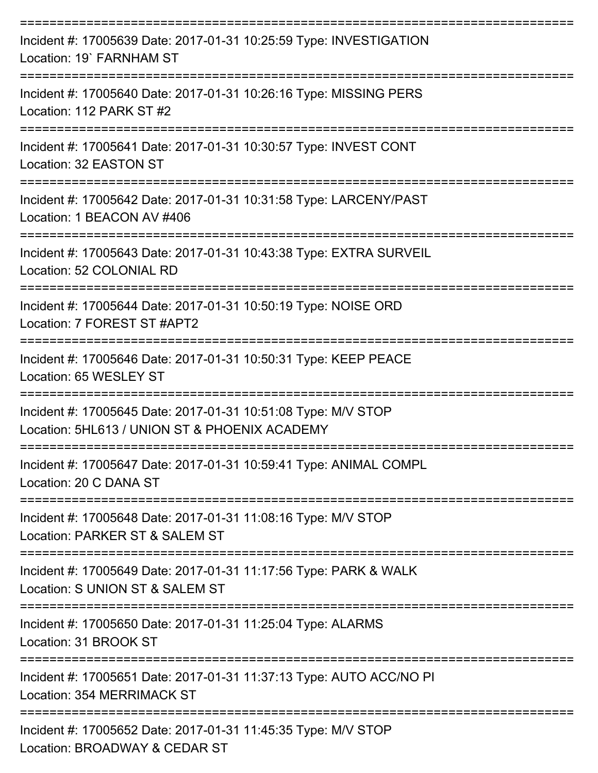| Incident #: 17005639 Date: 2017-01-31 10:25:59 Type: INVESTIGATION<br>Location: 19' FARNHAM ST                     |
|--------------------------------------------------------------------------------------------------------------------|
| Incident #: 17005640 Date: 2017-01-31 10:26:16 Type: MISSING PERS<br>Location: 112 PARK ST #2<br>================= |
| Incident #: 17005641 Date: 2017-01-31 10:30:57 Type: INVEST CONT<br>Location: 32 EASTON ST                         |
| Incident #: 17005642 Date: 2017-01-31 10:31:58 Type: LARCENY/PAST<br>Location: 1 BEACON AV #406                    |
| Incident #: 17005643 Date: 2017-01-31 10:43:38 Type: EXTRA SURVEIL<br>Location: 52 COLONIAL RD                     |
| Incident #: 17005644 Date: 2017-01-31 10:50:19 Type: NOISE ORD<br>Location: 7 FOREST ST #APT2                      |
| Incident #: 17005646 Date: 2017-01-31 10:50:31 Type: KEEP PEACE<br>Location: 65 WESLEY ST                          |
| Incident #: 17005645 Date: 2017-01-31 10:51:08 Type: M/V STOP<br>Location: 5HL613 / UNION ST & PHOENIX ACADEMY     |
| Incident #: 17005647 Date: 2017-01-31 10:59:41 Type: ANIMAL COMPL<br>Location: 20 C DANA ST                        |
| Incident #: 17005648 Date: 2017-01-31 11:08:16 Type: M/V STOP<br>Location: PARKER ST & SALEM ST                    |
| Incident #: 17005649 Date: 2017-01-31 11:17:56 Type: PARK & WALK<br>Location: S UNION ST & SALEM ST                |
| Incident #: 17005650 Date: 2017-01-31 11:25:04 Type: ALARMS<br>Location: 31 BROOK ST                               |
| Incident #: 17005651 Date: 2017-01-31 11:37:13 Type: AUTO ACC/NO PI<br>Location: 354 MERRIMACK ST                  |
| Incident #: 17005652 Date: 2017-01-31 11:45:35 Type: M/V STOP<br>Location: BBOADWAV & CEDAD ST                     |

Location: BROADWAY & CEDAR ST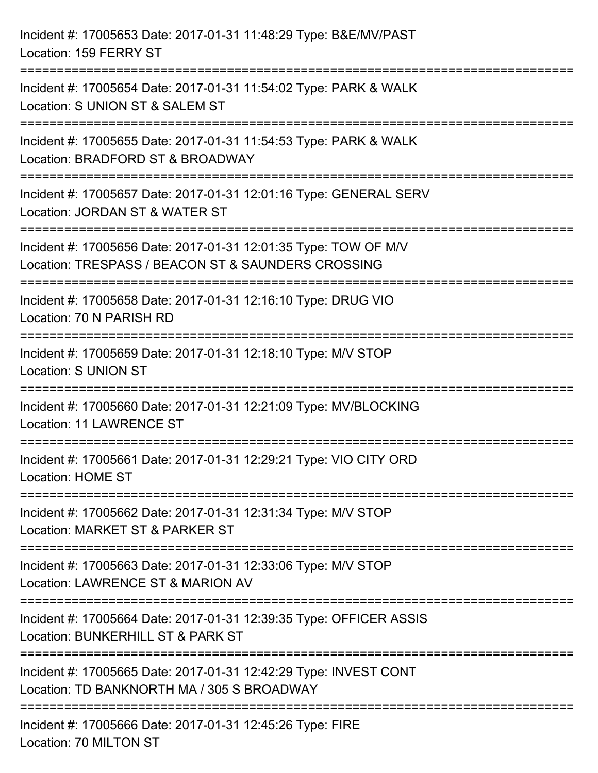| Incident #: 17005653 Date: 2017-01-31 11:48:29 Type: B&E/MV/PAST<br>Location: 159 FERRY ST                                                                                              |
|-----------------------------------------------------------------------------------------------------------------------------------------------------------------------------------------|
| Incident #: 17005654 Date: 2017-01-31 11:54:02 Type: PARK & WALK<br>Location: S UNION ST & SALEM ST                                                                                     |
| Incident #: 17005655 Date: 2017-01-31 11:54:53 Type: PARK & WALK<br>Location: BRADFORD ST & BROADWAY<br>============================                                                    |
| Incident #: 17005657 Date: 2017-01-31 12:01:16 Type: GENERAL SERV<br>Location: JORDAN ST & WATER ST                                                                                     |
| Incident #: 17005656 Date: 2017-01-31 12:01:35 Type: TOW OF M/V<br>Location: TRESPASS / BEACON ST & SAUNDERS CROSSING<br>====================================<br>===================    |
| Incident #: 17005658 Date: 2017-01-31 12:16:10 Type: DRUG VIO<br>Location: 70 N PARISH RD                                                                                               |
| Incident #: 17005659 Date: 2017-01-31 12:18:10 Type: M/V STOP<br><b>Location: S UNION ST</b><br>-----------------------------                                                           |
| Incident #: 17005660 Date: 2017-01-31 12:21:09 Type: MV/BLOCKING<br><b>Location: 11 LAWRENCE ST</b>                                                                                     |
| Incident #: 17005661 Date: 2017-01-31 12:29:21 Type: VIO CITY ORD<br>Location: HOME ST                                                                                                  |
| Incident #: 17005662 Date: 2017-01-31 12:31:34 Type: M/V STOP<br>Location: MARKET ST & PARKER ST                                                                                        |
| Incident #: 17005663 Date: 2017-01-31 12:33:06 Type: M/V STOP<br>Location: LAWRENCE ST & MARION AV                                                                                      |
| Incident #: 17005664 Date: 2017-01-31 12:39:35 Type: OFFICER ASSIS<br>Location: BUNKERHILL ST & PARK ST                                                                                 |
| Incident #: 17005665 Date: 2017-01-31 12:42:29 Type: INVEST CONT<br>Location: TD BANKNORTH MA / 305 S BROADWAY<br>----------------------------------<br>------------------------------- |
| Incident #: 17005666 Date: 2017-01-31 12:45:26 Type: FIRE<br>Location: 70 MILTON ST                                                                                                     |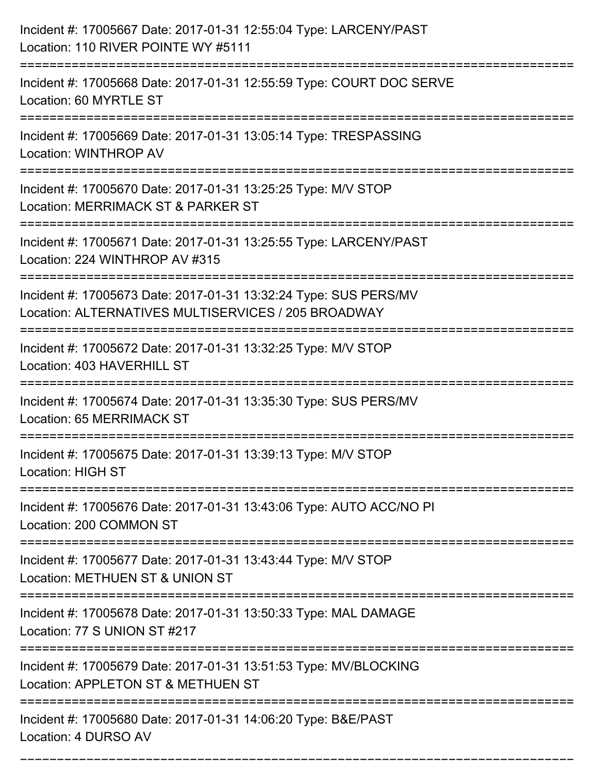| Incident #: 17005667 Date: 2017-01-31 12:55:04 Type: LARCENY/PAST<br>Location: 110 RIVER POINTE WY #5111                                                             |
|----------------------------------------------------------------------------------------------------------------------------------------------------------------------|
| Incident #: 17005668 Date: 2017-01-31 12:55:59 Type: COURT DOC SERVE<br>Location: 60 MYRTLE ST                                                                       |
| Incident #: 17005669 Date: 2017-01-31 13:05:14 Type: TRESPASSING<br><b>Location: WINTHROP AV</b>                                                                     |
| Incident #: 17005670 Date: 2017-01-31 13:25:25 Type: M/V STOP<br>Location: MERRIMACK ST & PARKER ST                                                                  |
| Incident #: 17005671 Date: 2017-01-31 13:25:55 Type: LARCENY/PAST<br>Location: 224 WINTHROP AV #315                                                                  |
| Incident #: 17005673 Date: 2017-01-31 13:32:24 Type: SUS PERS/MV<br>Location: ALTERNATIVES MULTISERVICES / 205 BROADWAY                                              |
| Incident #: 17005672 Date: 2017-01-31 13:32:25 Type: M/V STOP<br>Location: 403 HAVERHILL ST                                                                          |
| Incident #: 17005674 Date: 2017-01-31 13:35:30 Type: SUS PERS/MV<br>Location: 65 MERRIMACK ST                                                                        |
| Incident #: 17005675 Date: 2017-01-31 13:39:13 Type: M/V STOP<br><b>Location: HIGH ST</b>                                                                            |
| Incident #: 17005676 Date: 2017-01-31 13:43:06 Type: AUTO ACC/NO PI<br>Location: 200 COMMON ST                                                                       |
| ----------------------------------<br>--------------------------<br>Incident #: 17005677 Date: 2017-01-31 13:43:44 Type: M/V STOP<br>Location: METHUEN ST & UNION ST |
| Incident #: 17005678 Date: 2017-01-31 13:50:33 Type: MAL DAMAGE<br>Location: 77 S UNION ST #217                                                                      |
| Incident #: 17005679 Date: 2017-01-31 13:51:53 Type: MV/BLOCKING<br>Location: APPLETON ST & METHUEN ST                                                               |
| Incident #: 17005680 Date: 2017-01-31 14:06:20 Type: B&E/PAST<br>Location: 4 DURSO AV                                                                                |

===========================================================================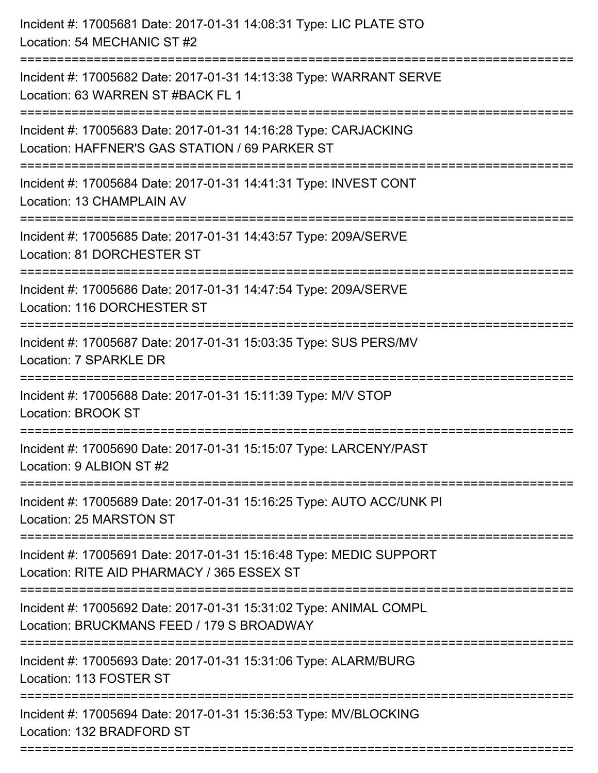| Incident #: 17005681 Date: 2017-01-31 14:08:31 Type: LIC PLATE STO<br>Location: 54 MECHANIC ST #2                                                        |
|----------------------------------------------------------------------------------------------------------------------------------------------------------|
| Incident #: 17005682 Date: 2017-01-31 14:13:38 Type: WARRANT SERVE<br>Location: 63 WARREN ST #BACK FL 1                                                  |
| Incident #: 17005683 Date: 2017-01-31 14:16:28 Type: CARJACKING<br>Location: HAFFNER'S GAS STATION / 69 PARKER ST<br>=================================== |
| Incident #: 17005684 Date: 2017-01-31 14:41:31 Type: INVEST CONT<br>Location: 13 CHAMPLAIN AV                                                            |
| Incident #: 17005685 Date: 2017-01-31 14:43:57 Type: 209A/SERVE<br>Location: 81 DORCHESTER ST                                                            |
| Incident #: 17005686 Date: 2017-01-31 14:47:54 Type: 209A/SERVE<br>Location: 116 DORCHESTER ST                                                           |
| Incident #: 17005687 Date: 2017-01-31 15:03:35 Type: SUS PERS/MV<br>Location: 7 SPARKLE DR                                                               |
| Incident #: 17005688 Date: 2017-01-31 15:11:39 Type: M/V STOP<br><b>Location: BROOK ST</b>                                                               |
| Incident #: 17005690 Date: 2017-01-31 15:15:07 Type: LARCENY/PAST<br>Location: 9 ALBION ST #2<br>------------------                                      |
| Incident #: 17005689 Date: 2017-01-31 15:16:25 Type: AUTO ACC/UNK PI<br>Location: 25 MARSTON ST                                                          |
| ---------------------------------<br>Incident #: 17005691 Date: 2017-01-31 15:16:48 Type: MEDIC SUPPORT<br>Location: RITE AID PHARMACY / 365 ESSEX ST    |
| Incident #: 17005692 Date: 2017-01-31 15:31:02 Type: ANIMAL COMPL<br>Location: BRUCKMANS FEED / 179 S BROADWAY                                           |
| Incident #: 17005693 Date: 2017-01-31 15:31:06 Type: ALARM/BURG<br>Location: 113 FOSTER ST                                                               |
| Incident #: 17005694 Date: 2017-01-31 15:36:53 Type: MV/BLOCKING<br>Location: 132 BRADFORD ST                                                            |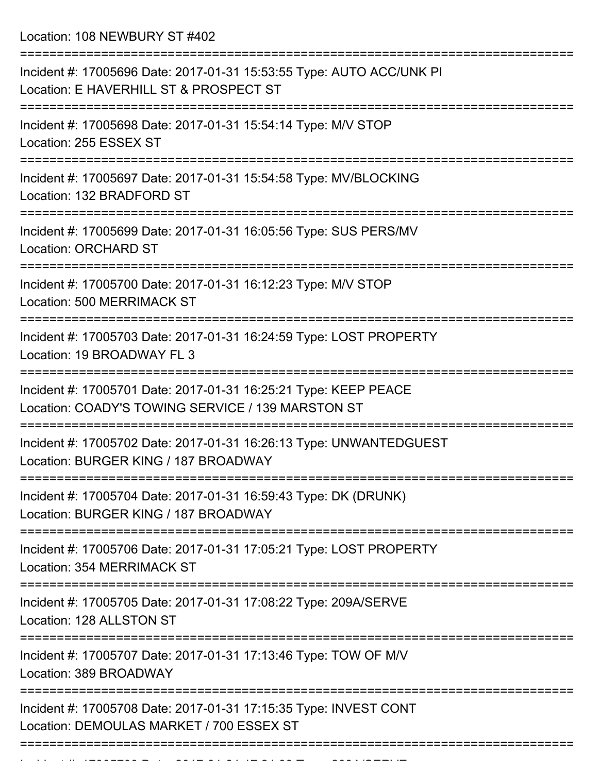Location: 108 NEWBURY ST #402

| Incident #: 17005696 Date: 2017-01-31 15:53:55 Type: AUTO ACC/UNK PI<br>Location: E HAVERHILL ST & PROSPECT ST       |
|----------------------------------------------------------------------------------------------------------------------|
| Incident #: 17005698 Date: 2017-01-31 15:54:14 Type: M/V STOP<br>Location: 255 ESSEX ST                              |
| Incident #: 17005697 Date: 2017-01-31 15:54:58 Type: MV/BLOCKING<br>Location: 132 BRADFORD ST                        |
| Incident #: 17005699 Date: 2017-01-31 16:05:56 Type: SUS PERS/MV<br><b>Location: ORCHARD ST</b>                      |
| Incident #: 17005700 Date: 2017-01-31 16:12:23 Type: M/V STOP<br><b>Location: 500 MERRIMACK ST</b>                   |
| Incident #: 17005703 Date: 2017-01-31 16:24:59 Type: LOST PROPERTY<br>Location: 19 BROADWAY FL 3                     |
| Incident #: 17005701 Date: 2017-01-31 16:25:21 Type: KEEP PEACE<br>Location: COADY'S TOWING SERVICE / 139 MARSTON ST |
| Incident #: 17005702 Date: 2017-01-31 16:26:13 Type: UNWANTEDGUEST<br>Location: BURGER KING / 187 BROADWAY           |
| Incident #: 17005704 Date: 2017-01-31 16:59:43 Type: DK (DRUNK)<br>Location: BURGER KING / 187 BROADWAY              |
| Incident #: 17005706 Date: 2017-01-31 17:05:21 Type: LOST PROPERTY<br><b>Location: 354 MERRIMACK ST</b>              |
| Incident #: 17005705 Date: 2017-01-31 17:08:22 Type: 209A/SERVE<br>Location: 128 ALLSTON ST                          |
| Incident #: 17005707 Date: 2017-01-31 17:13:46 Type: TOW OF M/V<br>Location: 389 BROADWAY                            |
| Incident #: 17005708 Date: 2017-01-31 17:15:35 Type: INVEST CONT<br>Location: DEMOULAS MARKET / 700 ESSEX ST         |
|                                                                                                                      |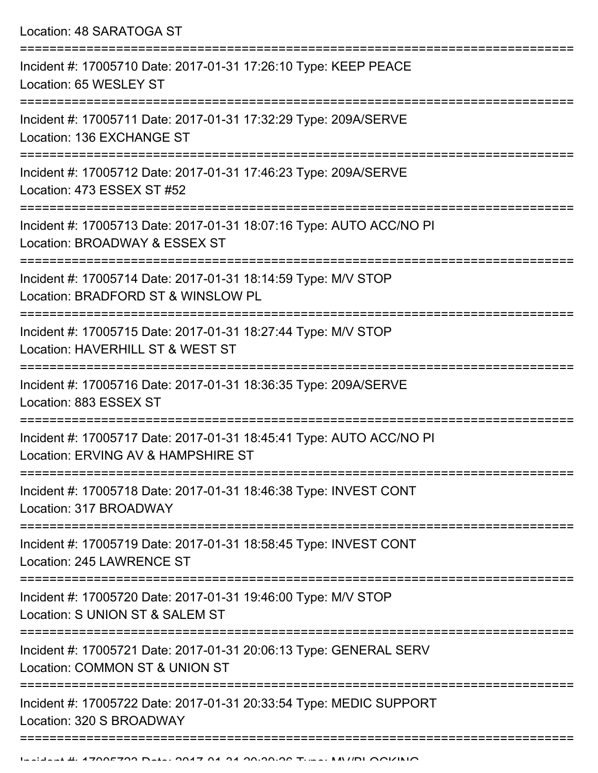Location: 48 SARATOGA ST =========================================================================== Incident #: 17005710 Date: 2017-01-31 17:26:10 Type: KEEP PEACE Location: 65 WESLEY ST =========================================================================== Incident #: 17005711 Date: 2017-01-31 17:32:29 Type: 209A/SERVE Location: 136 EXCHANGE ST =========================================================================== Incident #: 17005712 Date: 2017-01-31 17:46:23 Type: 209A/SERVE Location: 473 ESSEX ST #52 =========================================================================== Incident #: 17005713 Date: 2017-01-31 18:07:16 Type: AUTO ACC/NO PI Location: BROADWAY & ESSEX ST =========================================================================== Incident #: 17005714 Date: 2017-01-31 18:14:59 Type: M/V STOP Location: BRADFORD ST & WINSLOW PL =========================================================================== Incident #: 17005715 Date: 2017-01-31 18:27:44 Type: M/V STOP Location: HAVERHILL ST & WEST ST =========================================================================== Incident #: 17005716 Date: 2017-01-31 18:36:35 Type: 209A/SERVE Location: 883 ESSEX ST =========================================================================== Incident #: 17005717 Date: 2017-01-31 18:45:41 Type: AUTO ACC/NO PI Location: ERVING AV & HAMPSHIRE ST ===========================================================================

Incident #: 17005718 Date: 2017-01-31 18:46:38 Type: INVEST CONT Location: 317 BROADWAY

===========================================================================

Incident #: 17005719 Date: 2017-01-31 18:58:45 Type: INVEST CONT Location: 245 LAWRENCE ST

===========================================================================

Incident #: 17005720 Date: 2017-01-31 19:46:00 Type: M/V STOP

Location: S UNION ST & SALEM ST

===========================================================================

Incident #: 17005721 Date: 2017-01-31 20:06:13 Type: GENERAL SERV

Location: COMMON ST & UNION ST

===========================================================================

===========================================================================

Incident #: 17005722 Date: 2017-01-31 20:33:54 Type: MEDIC SUPPORT Location: 320 S BROADWAY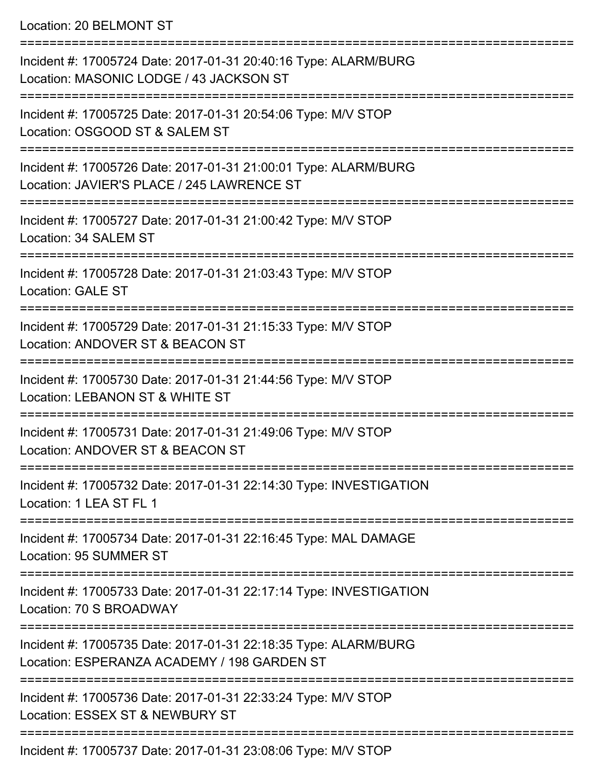Location: 20 BELMONT ST

| Incident #: 17005724 Date: 2017-01-31 20:40:16 Type: ALARM/BURG<br>Location: MASONIC LODGE / 43 JACKSON ST     |
|----------------------------------------------------------------------------------------------------------------|
| Incident #: 17005725 Date: 2017-01-31 20:54:06 Type: M/V STOP<br>Location: OSGOOD ST & SALEM ST                |
| Incident #: 17005726 Date: 2017-01-31 21:00:01 Type: ALARM/BURG<br>Location: JAVIER'S PLACE / 245 LAWRENCE ST  |
| Incident #: 17005727 Date: 2017-01-31 21:00:42 Type: M/V STOP<br>Location: 34 SALEM ST                         |
| Incident #: 17005728 Date: 2017-01-31 21:03:43 Type: M/V STOP<br><b>Location: GALE ST</b>                      |
| Incident #: 17005729 Date: 2017-01-31 21:15:33 Type: M/V STOP<br>Location: ANDOVER ST & BEACON ST              |
| Incident #: 17005730 Date: 2017-01-31 21:44:56 Type: M/V STOP<br>Location: LEBANON ST & WHITE ST               |
| Incident #: 17005731 Date: 2017-01-31 21:49:06 Type: M/V STOP<br>Location: ANDOVER ST & BEACON ST              |
| Incident #: 17005732 Date: 2017-01-31 22:14:30 Type: INVESTIGATION<br>Location: 1 LEA ST FL 1                  |
| Incident #: 17005734 Date: 2017-01-31 22:16:45 Type: MAL DAMAGE<br><b>Location: 95 SUMMER ST</b>               |
| Incident #: 17005733 Date: 2017-01-31 22:17:14 Type: INVESTIGATION<br>Location: 70 S BROADWAY                  |
| Incident #: 17005735 Date: 2017-01-31 22:18:35 Type: ALARM/BURG<br>Location: ESPERANZA ACADEMY / 198 GARDEN ST |
| Incident #: 17005736 Date: 2017-01-31 22:33:24 Type: M/V STOP<br>Location: ESSEX ST & NEWBURY ST               |
|                                                                                                                |

Incident #: 17005737 Date: 2017-01-31 23:08:06 Type: M/V STOP